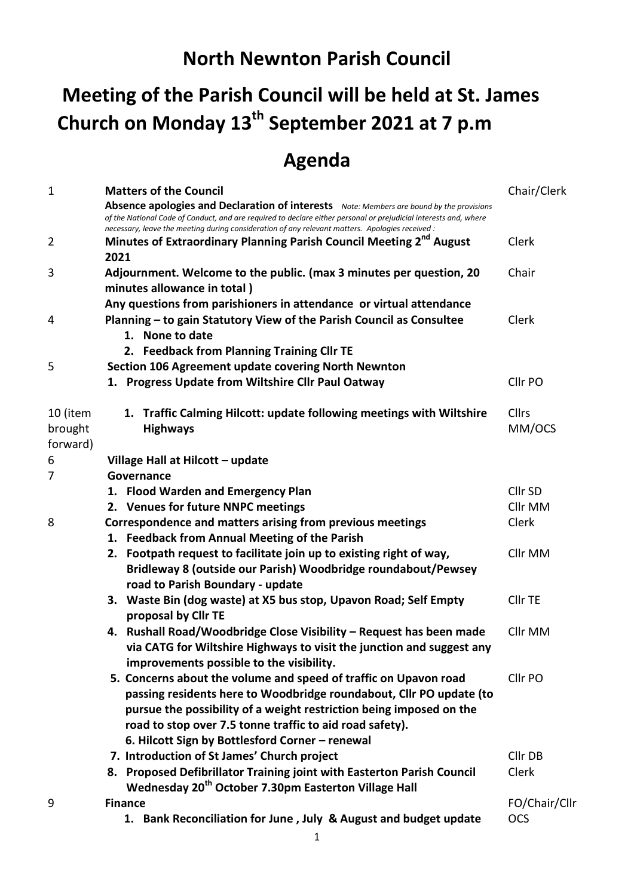## **North Newnton Parish Council**

## **Meeting of the Parish Council will be held at St. James Church on Monday 13th September 2021 at 7 p.m**

## **Agenda**

| 1                               | <b>Matters of the Council</b><br>Absence apologies and Declaration of interests Note: Members are bound by the provisions                                                                                           | Chair/Clerk            |
|---------------------------------|---------------------------------------------------------------------------------------------------------------------------------------------------------------------------------------------------------------------|------------------------|
|                                 | of the National Code of Conduct, and are required to declare either personal or prejudicial interests and, where<br>necessary, leave the meeting during consideration of any relevant matters. Apologies received : |                        |
| 2                               | Minutes of Extraordinary Planning Parish Council Meeting 2 <sup>nd</sup> August<br>2021                                                                                                                             | Clerk                  |
| 3                               | Adjournment. Welcome to the public. (max 3 minutes per question, 20                                                                                                                                                 | Chair                  |
|                                 | minutes allowance in total)                                                                                                                                                                                         |                        |
|                                 | Any questions from parishioners in attendance or virtual attendance                                                                                                                                                 |                        |
| 4                               | Planning - to gain Statutory View of the Parish Council as Consultee<br>1. None to date                                                                                                                             | Clerk                  |
|                                 | 2. Feedback from Planning Training Cllr TE                                                                                                                                                                          |                        |
| 5                               | Section 106 Agreement update covering North Newnton                                                                                                                                                                 |                        |
|                                 | 1. Progress Update from Wiltshire Cllr Paul Oatway                                                                                                                                                                  | Cllr PO                |
| 10 (item<br>brought<br>forward) | 1. Traffic Calming Hilcott: update following meetings with Wiltshire<br><b>Highways</b>                                                                                                                             | <b>Cllrs</b><br>MM/OCS |
| 6                               | Village Hall at Hilcott - update                                                                                                                                                                                    |                        |
| 7                               | Governance                                                                                                                                                                                                          |                        |
|                                 | 1. Flood Warden and Emergency Plan                                                                                                                                                                                  | Cllr SD                |
|                                 | 2. Venues for future NNPC meetings                                                                                                                                                                                  | Cllr MM                |
| 8                               | Correspondence and matters arising from previous meetings                                                                                                                                                           | Clerk                  |
|                                 | 1. Feedback from Annual Meeting of the Parish                                                                                                                                                                       |                        |
|                                 | 2. Footpath request to facilitate join up to existing right of way,                                                                                                                                                 | <b>Cllr MM</b>         |
|                                 | Bridleway 8 (outside our Parish) Woodbridge roundabout/Pewsey<br>road to Parish Boundary - update                                                                                                                   |                        |
|                                 | 3. Waste Bin (dog waste) at X5 bus stop, Upavon Road; Self Empty<br>proposal by Cllr TE                                                                                                                             | Cllr TE                |
|                                 | 4. Rushall Road/Woodbridge Close Visibility - Request has been made                                                                                                                                                 | Cllr MM                |
|                                 | via CATG for Wiltshire Highways to visit the junction and suggest any<br>improvements possible to the visibility.                                                                                                   |                        |
|                                 | 5. Concerns about the volume and speed of traffic on Upavon road                                                                                                                                                    | Cllr PO                |
|                                 | passing residents here to Woodbridge roundabout, Cllr PO update (to                                                                                                                                                 |                        |
|                                 | pursue the possibility of a weight restriction being imposed on the                                                                                                                                                 |                        |
|                                 | road to stop over 7.5 tonne traffic to aid road safety).                                                                                                                                                            |                        |
|                                 | 6. Hilcott Sign by Bottlesford Corner - renewal                                                                                                                                                                     |                        |
|                                 | 7. Introduction of St James' Church project                                                                                                                                                                         | Cllr DB                |
|                                 | 8. Proposed Defibrillator Training joint with Easterton Parish Council<br>Wednesday 20 <sup>th</sup> October 7.30pm Easterton Village Hall                                                                          | Clerk                  |
| 9                               | <b>Finance</b>                                                                                                                                                                                                      | FO/Chair/Cllr          |
|                                 | 1. Bank Reconciliation for June, July & August and budget update                                                                                                                                                    | <b>OCS</b>             |